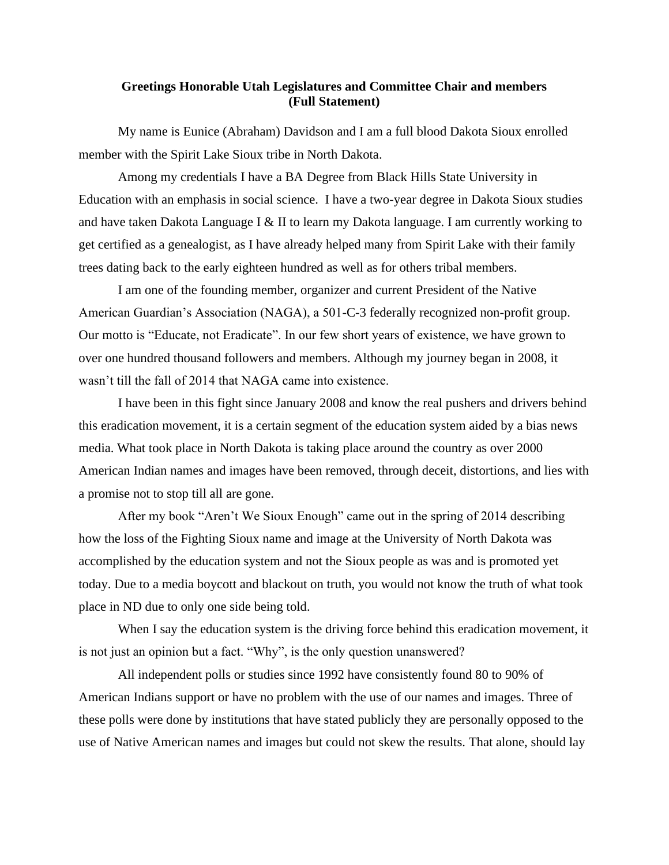## **Greetings Honorable Utah Legislatures and Committee Chair and members (Full Statement)**

My name is Eunice (Abraham) Davidson and I am a full blood Dakota Sioux enrolled member with the Spirit Lake Sioux tribe in North Dakota.

Among my credentials I have a BA Degree from Black Hills State University in Education with an emphasis in social science. I have a two-year degree in Dakota Sioux studies and have taken Dakota Language I & II to learn my Dakota language. I am currently working to get certified as a genealogist, as I have already helped many from Spirit Lake with their family trees dating back to the early eighteen hundred as well as for others tribal members.

I am one of the founding member, organizer and current President of the Native American Guardian's Association (NAGA), a 501-C-3 federally recognized non-profit group. Our motto is "Educate, not Eradicate". In our few short years of existence, we have grown to over one hundred thousand followers and members. Although my journey began in 2008, it wasn't till the fall of 2014 that NAGA came into existence.

I have been in this fight since January 2008 and know the real pushers and drivers behind this eradication movement, it is a certain segment of the education system aided by a bias news media. What took place in North Dakota is taking place around the country as over 2000 American Indian names and images have been removed, through deceit, distortions, and lies with a promise not to stop till all are gone.

After my book "Aren't We Sioux Enough" came out in the spring of 2014 describing how the loss of the Fighting Sioux name and image at the University of North Dakota was accomplished by the education system and not the Sioux people as was and is promoted yet today. Due to a media boycott and blackout on truth, you would not know the truth of what took place in ND due to only one side being told.

When I say the education system is the driving force behind this eradication movement, it is not just an opinion but a fact. "Why", is the only question unanswered?

All independent polls or studies since 1992 have consistently found 80 to 90% of American Indians support or have no problem with the use of our names and images. Three of these polls were done by institutions that have stated publicly they are personally opposed to the use of Native American names and images but could not skew the results. That alone, should lay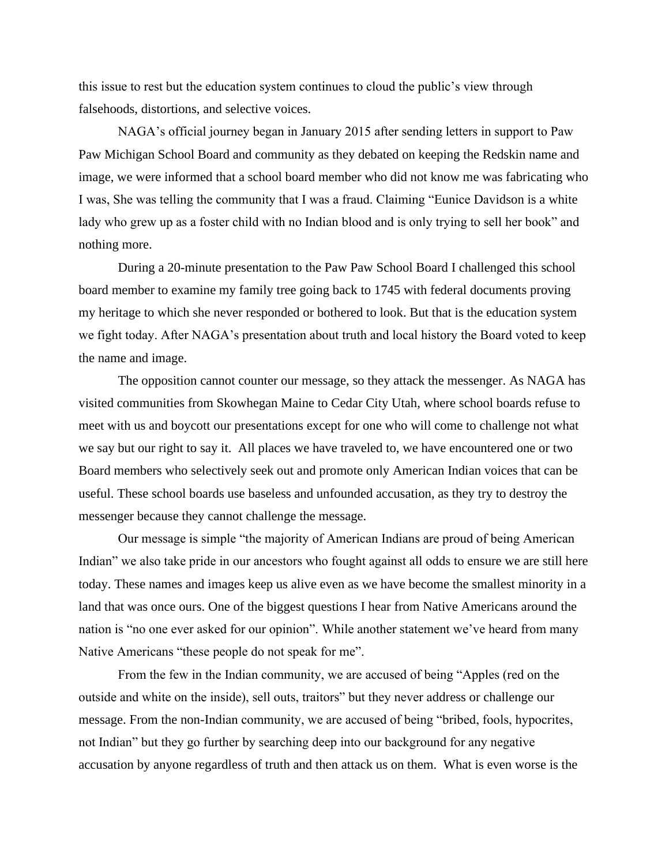this issue to rest but the education system continues to cloud the public's view through falsehoods, distortions, and selective voices.

NAGA's official journey began in January 2015 after sending letters in support to Paw Paw Michigan School Board and community as they debated on keeping the Redskin name and image, we were informed that a school board member who did not know me was fabricating who I was, She was telling the community that I was a fraud. Claiming "Eunice Davidson is a white lady who grew up as a foster child with no Indian blood and is only trying to sell her book" and nothing more.

During a 20-minute presentation to the Paw Paw School Board I challenged this school board member to examine my family tree going back to 1745 with federal documents proving my heritage to which she never responded or bothered to look. But that is the education system we fight today. After NAGA's presentation about truth and local history the Board voted to keep the name and image.

The opposition cannot counter our message, so they attack the messenger. As NAGA has visited communities from Skowhegan Maine to Cedar City Utah, where school boards refuse to meet with us and boycott our presentations except for one who will come to challenge not what we say but our right to say it. All places we have traveled to, we have encountered one or two Board members who selectively seek out and promote only American Indian voices that can be useful. These school boards use baseless and unfounded accusation, as they try to destroy the messenger because they cannot challenge the message.

Our message is simple "the majority of American Indians are proud of being American Indian" we also take pride in our ancestors who fought against all odds to ensure we are still here today. These names and images keep us alive even as we have become the smallest minority in a land that was once ours. One of the biggest questions I hear from Native Americans around the nation is "no one ever asked for our opinion". While another statement we've heard from many Native Americans "these people do not speak for me".

From the few in the Indian community, we are accused of being "Apples (red on the outside and white on the inside), sell outs, traitors" but they never address or challenge our message. From the non-Indian community, we are accused of being "bribed, fools, hypocrites, not Indian" but they go further by searching deep into our background for any negative accusation by anyone regardless of truth and then attack us on them. What is even worse is the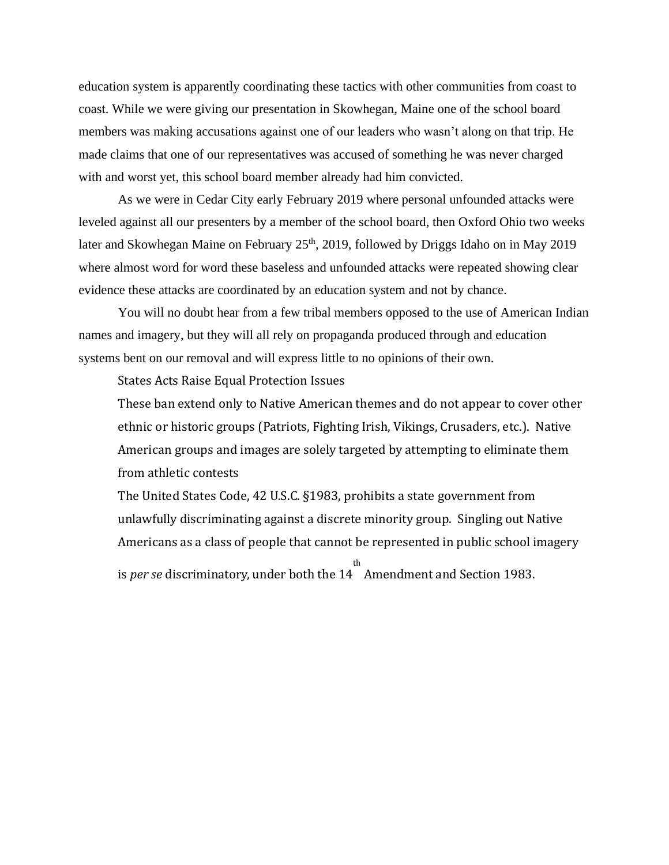education system is apparently coordinating these tactics with other communities from coast to coast. While we were giving our presentation in Skowhegan, Maine one of the school board members was making accusations against one of our leaders who wasn't along on that trip. He made claims that one of our representatives was accused of something he was never charged with and worst yet, this school board member already had him convicted.

As we were in Cedar City early February 2019 where personal unfounded attacks were leveled against all our presenters by a member of the school board, then Oxford Ohio two weeks later and Skowhegan Maine on February  $25<sup>th</sup>$ , 2019, followed by Driggs Idaho on in May 2019 where almost word for word these baseless and unfounded attacks were repeated showing clear evidence these attacks are coordinated by an education system and not by chance.

You will no doubt hear from a few tribal members opposed to the use of American Indian names and imagery, but they will all rely on propaganda produced through and education systems bent on our removal and will express little to no opinions of their own.

States Acts Raise Equal Protection Issues

These ban extend only to Native American themes and do not appear to cover other ethnic or historic groups (Patriots, Fighting Irish, Vikings, Crusaders, etc.). Native American groups and images are solely targeted by attempting to eliminate them from athletic contests

The United States Code, 42 U.S.C. §1983, prohibits a state government from unlawfully discriminating against a discrete minority group. Singling out Native Americans as a class of people that cannot be represented in public school imagery is *per se* discriminatory, under both the 14 th Amendment and Section 1983.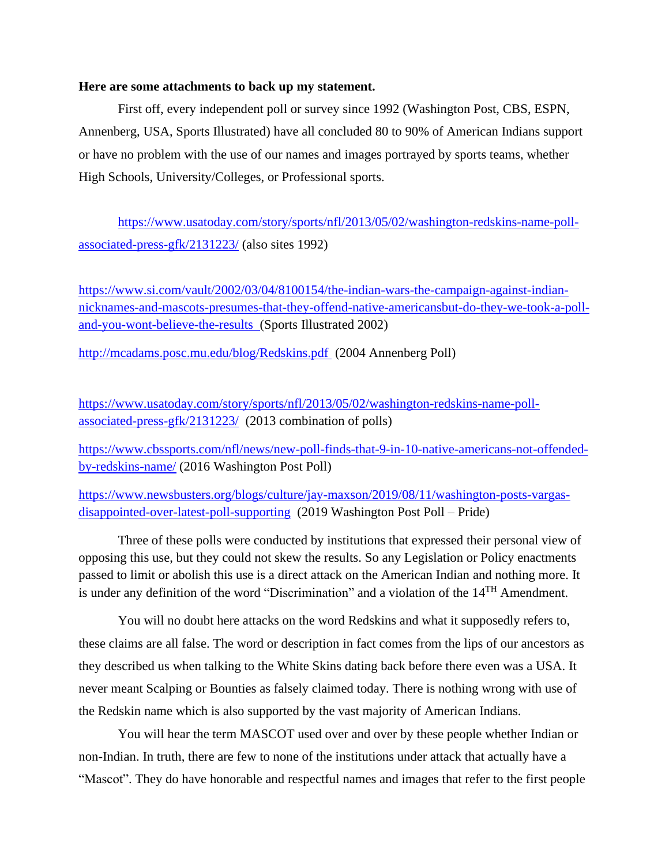## **Here are some attachments to back up my statement.**

First off, every independent poll or survey since 1992 (Washington Post, CBS, ESPN, Annenberg, USA, Sports Illustrated) have all concluded 80 to 90% of American Indians support or have no problem with the use of our names and images portrayed by sports teams, whether High Schools, University/Colleges, or Professional sports.

[https://www.usatoday.com/story/sports/nfl/2013/05/02/washington-redskins-name-poll](https://www.usatoday.com/story/sports/nfl/2013/05/02/washington-redskins-name-poll-associated-press-gfk/2131223/)[associated-press-gfk/2131223/](https://www.usatoday.com/story/sports/nfl/2013/05/02/washington-redskins-name-poll-associated-press-gfk/2131223/) (also sites 1992)

[https://www.si.com/vault/2002/03/04/8100154/the-indian-wars-the-campaign-against-indian](https://www.si.com/vault/2002/03/04/8100154/the-indian-wars-the-campaign-against-indian-nicknames-and-mascots-presumes-that-they-offend-native-americansbut-do-they-we-took-a-poll-and-you-wont-believe-the-results)[nicknames-and-mascots-presumes-that-they-offend-native-americansbut-do-they-we-took-a-poll](https://www.si.com/vault/2002/03/04/8100154/the-indian-wars-the-campaign-against-indian-nicknames-and-mascots-presumes-that-they-offend-native-americansbut-do-they-we-took-a-poll-and-you-wont-believe-the-results)[and-you-wont-believe-the-results](https://www.si.com/vault/2002/03/04/8100154/the-indian-wars-the-campaign-against-indian-nicknames-and-mascots-presumes-that-they-offend-native-americansbut-do-they-we-took-a-poll-and-you-wont-believe-the-results) (Sports Illustrated 2002)

<http://mcadams.posc.mu.edu/blog/Redskins.pdf> (2004 Annenberg Poll)

[https://www.usatoday.com/story/sports/nfl/2013/05/02/washington-redskins-name-poll](https://www.usatoday.com/story/sports/nfl/2013/05/02/washington-redskins-name-poll-associated-press-gfk/2131223/)[associated-press-gfk/2131223/](https://www.usatoday.com/story/sports/nfl/2013/05/02/washington-redskins-name-poll-associated-press-gfk/2131223/) (2013 combination of polls)

[https://www.cbssports.com/nfl/news/new-poll-finds-that-9-in-10-native-americans-not-offended](https://www.cbssports.com/nfl/news/new-poll-finds-that-9-in-10-native-americans-not-offended-by-redskins-name/)[by-redskins-name/](https://www.cbssports.com/nfl/news/new-poll-finds-that-9-in-10-native-americans-not-offended-by-redskins-name/) (2016 Washington Post Poll)

[https://www.newsbusters.org/blogs/culture/jay-maxson/2019/08/11/washington-posts-vargas](https://www.newsbusters.org/blogs/culture/jay-maxson/2019/08/11/washington-posts-vargas-disappointed-over-latest-poll-supporting)[disappointed-over-latest-poll-supporting](https://www.newsbusters.org/blogs/culture/jay-maxson/2019/08/11/washington-posts-vargas-disappointed-over-latest-poll-supporting) (2019 Washington Post Poll – Pride)

Three of these polls were conducted by institutions that expressed their personal view of opposing this use, but they could not skew the results. So any Legislation or Policy enactments passed to limit or abolish this use is a direct attack on the American Indian and nothing more. It is under any definition of the word "Discrimination" and a violation of the 14TH Amendment.

You will no doubt here attacks on the word Redskins and what it supposedly refers to, these claims are all false. The word or description in fact comes from the lips of our ancestors as they described us when talking to the White Skins dating back before there even was a USA. It never meant Scalping or Bounties as falsely claimed today. There is nothing wrong with use of the Redskin name which is also supported by the vast majority of American Indians.

You will hear the term MASCOT used over and over by these people whether Indian or non-Indian. In truth, there are few to none of the institutions under attack that actually have a "Mascot". They do have honorable and respectful names and images that refer to the first people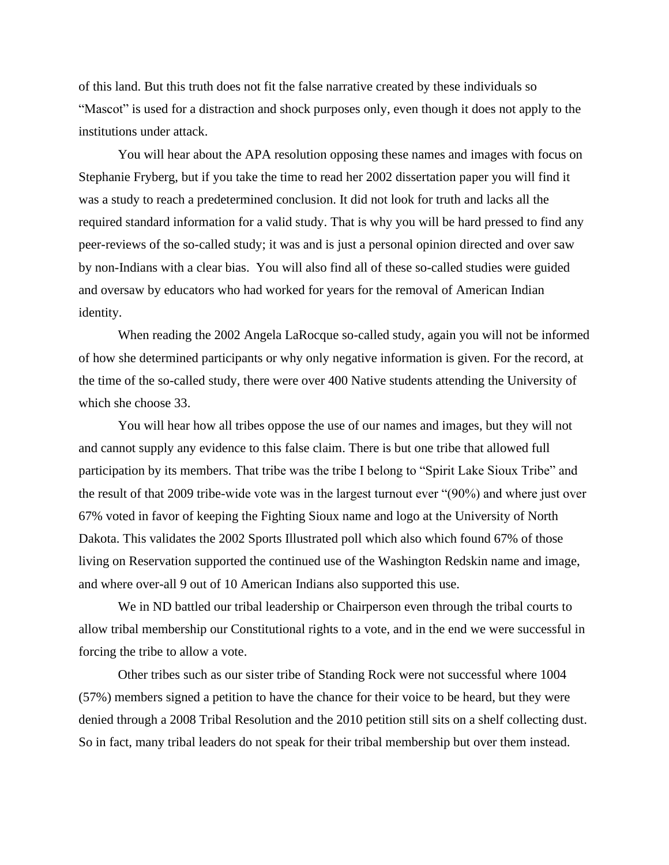of this land. But this truth does not fit the false narrative created by these individuals so "Mascot" is used for a distraction and shock purposes only, even though it does not apply to the institutions under attack.

You will hear about the APA resolution opposing these names and images with focus on Stephanie Fryberg, but if you take the time to read her 2002 dissertation paper you will find it was a study to reach a predetermined conclusion. It did not look for truth and lacks all the required standard information for a valid study. That is why you will be hard pressed to find any peer-reviews of the so-called study; it was and is just a personal opinion directed and over saw by non-Indians with a clear bias. You will also find all of these so-called studies were guided and oversaw by educators who had worked for years for the removal of American Indian identity.

When reading the 2002 Angela LaRocque so-called study, again you will not be informed of how she determined participants or why only negative information is given. For the record, at the time of the so-called study, there were over 400 Native students attending the University of which she choose 33.

You will hear how all tribes oppose the use of our names and images, but they will not and cannot supply any evidence to this false claim. There is but one tribe that allowed full participation by its members. That tribe was the tribe I belong to "Spirit Lake Sioux Tribe" and the result of that 2009 tribe-wide vote was in the largest turnout ever "(90%) and where just over 67% voted in favor of keeping the Fighting Sioux name and logo at the University of North Dakota. This validates the 2002 Sports Illustrated poll which also which found 67% of those living on Reservation supported the continued use of the Washington Redskin name and image, and where over-all 9 out of 10 American Indians also supported this use.

We in ND battled our tribal leadership or Chairperson even through the tribal courts to allow tribal membership our Constitutional rights to a vote, and in the end we were successful in forcing the tribe to allow a vote.

Other tribes such as our sister tribe of Standing Rock were not successful where 1004 (57%) members signed a petition to have the chance for their voice to be heard, but they were denied through a 2008 Tribal Resolution and the 2010 petition still sits on a shelf collecting dust. So in fact, many tribal leaders do not speak for their tribal membership but over them instead.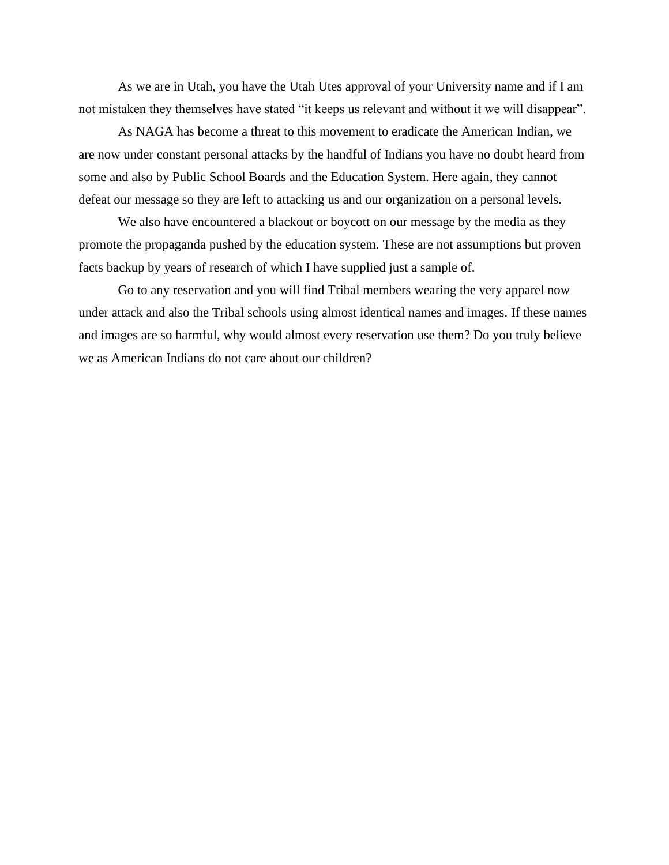As we are in Utah, you have the Utah Utes approval of your University name and if I am not mistaken they themselves have stated "it keeps us relevant and without it we will disappear".

As NAGA has become a threat to this movement to eradicate the American Indian, we are now under constant personal attacks by the handful of Indians you have no doubt heard from some and also by Public School Boards and the Education System. Here again, they cannot defeat our message so they are left to attacking us and our organization on a personal levels.

We also have encountered a blackout or boycott on our message by the media as they promote the propaganda pushed by the education system. These are not assumptions but proven facts backup by years of research of which I have supplied just a sample of.

Go to any reservation and you will find Tribal members wearing the very apparel now under attack and also the Tribal schools using almost identical names and images. If these names and images are so harmful, why would almost every reservation use them? Do you truly believe we as American Indians do not care about our children?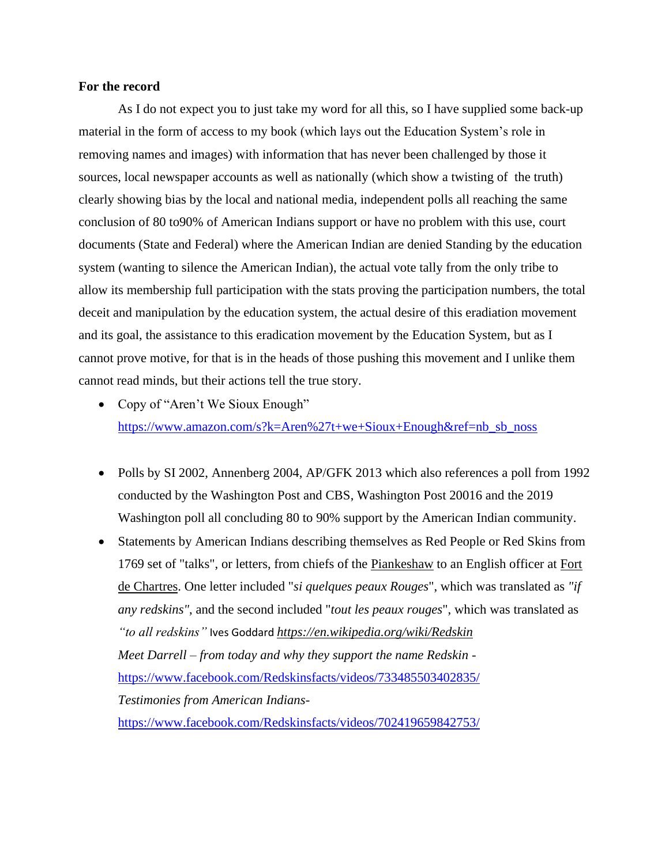## **For the record**

As I do not expect you to just take my word for all this, so I have supplied some back-up material in the form of access to my book (which lays out the Education System's role in removing names and images) with information that has never been challenged by those it sources, local newspaper accounts as well as nationally (which show a twisting of the truth) clearly showing bias by the local and national media, independent polls all reaching the same conclusion of 80 to90% of American Indians support or have no problem with this use, court documents (State and Federal) where the American Indian are denied Standing by the education system (wanting to silence the American Indian), the actual vote tally from the only tribe to allow its membership full participation with the stats proving the participation numbers, the total deceit and manipulation by the education system, the actual desire of this eradiation movement and its goal, the assistance to this eradication movement by the Education System, but as I cannot prove motive, for that is in the heads of those pushing this movement and I unlike them cannot read minds, but their actions tell the true story.

- Copy of "Aren't We Sioux Enough" [https://www.amazon.com/s?k=Aren%27t+we+Sioux+Enough&ref=nb\\_sb\\_noss](https://www.amazon.com/s?k=Aren%27t+we+Sioux+Enough&ref=nb_sb_noss)
- Polls by SI 2002, Annenberg 2004, AP/GFK 2013 which also references a poll from 1992 conducted by the Washington Post and CBS, Washington Post 20016 and the 2019 Washington poll all concluding 80 to 90% support by the American Indian community.
- Statements by American Indians describing themselves as Red People or Red Skins from 1769 set of "talks", or letters, from chiefs of the [Piankeshaw](https://en.wikipedia.org/wiki/Piankeshaw) to an English officer at [Fort](https://en.wikipedia.org/wiki/Fort_de_Chartres)  [de Chartres.](https://en.wikipedia.org/wiki/Fort_de_Chartres) One letter included "*si quelques peaux Rouges*", which was translated as *"if any redskins"*, and the second included "*tout les peaux rouges*", which was translated as *"to all redskins"* Ives Goddard *<https://en.wikipedia.org/wiki/Redskin> Meet Darrell – from today and why they support the name Redskin*  <https://www.facebook.com/Redskinsfacts/videos/733485503402835/> *Testimonies from American Indians*<https://www.facebook.com/Redskinsfacts/videos/702419659842753/>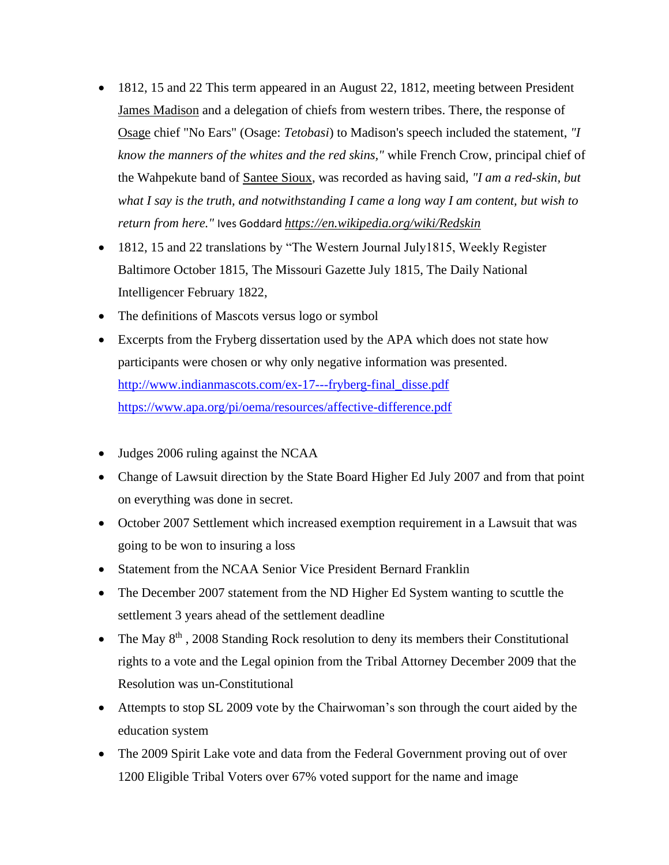- 1812, 15 and 22 This term appeared in an August 22, 1812, meeting between President [James Madison](https://en.wikipedia.org/wiki/James_Madison) and a delegation of chiefs from western tribes. There, the response of [Osage](https://en.wikipedia.org/wiki/Osage_Nation) chief "No Ears" (Osage: *Tetobasi*) to Madison's speech included the statement, *"I know the manners of the whites and the red skins,"* while French Crow, principal chief of the Wahpekute band of [Santee Sioux,](https://en.wikipedia.org/wiki/Santee_Sioux_Reservation) was recorded as having said, *"I am a red-skin, but what I say is the truth, and notwithstanding I came a long way I am content, but wish to return from here."* Ives Goddard *<https://en.wikipedia.org/wiki/Redskin>*
- 1812, 15 and 22 translations by "The Western Journal July1815, Weekly Register Baltimore October 1815, The Missouri Gazette July 1815, The Daily National Intelligencer February 1822,
- The definitions of Mascots versus logo or symbol
- Excerpts from the Fryberg dissertation used by the APA which does not state how participants were chosen or why only negative information was presented. [http://www.indianmascots.com/ex-17---fryberg-final\\_disse.pdf](http://www.indianmascots.com/ex-17---fryberg-final_disse.pdf) <https://www.apa.org/pi/oema/resources/affective-difference.pdf>
- Judges 2006 ruling against the NCAA
- Change of Lawsuit direction by the State Board Higher Ed July 2007 and from that point on everything was done in secret.
- October 2007 Settlement which increased exemption requirement in a Lawsuit that was going to be won to insuring a loss
- Statement from the NCAA Senior Vice President Bernard Franklin
- The December 2007 statement from the ND Higher Ed System wanting to scuttle the settlement 3 years ahead of the settlement deadline
- The May  $8<sup>th</sup>$ , 2008 Standing Rock resolution to deny its members their Constitutional rights to a vote and the Legal opinion from the Tribal Attorney December 2009 that the Resolution was un-Constitutional
- Attempts to stop SL 2009 vote by the Chairwoman's son through the court aided by the education system
- The 2009 Spirit Lake vote and data from the Federal Government proving out of over 1200 Eligible Tribal Voters over 67% voted support for the name and image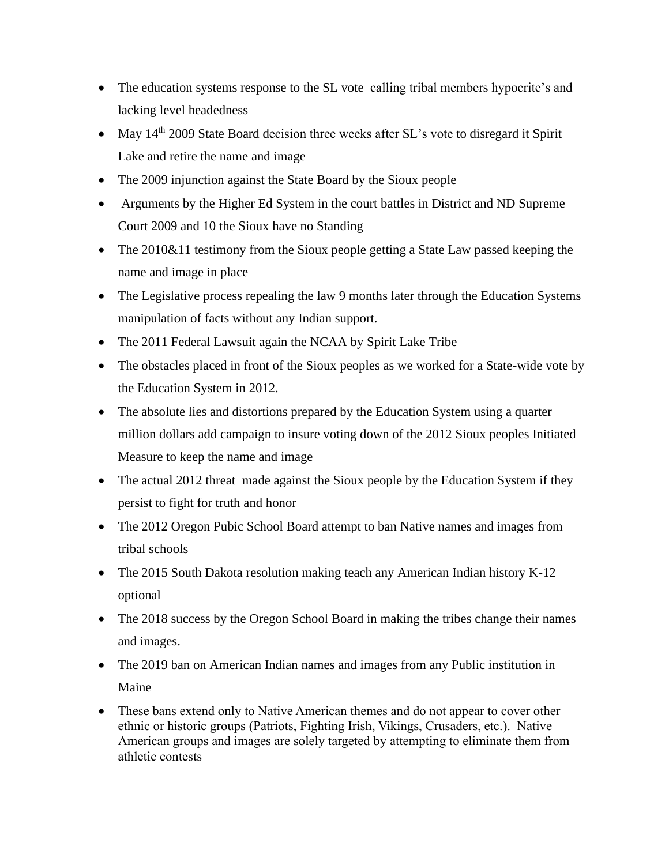- The education systems response to the SL vote calling tribal members hypocrite's and lacking level headedness
- May  $14<sup>th</sup>$  2009 State Board decision three weeks after SL's vote to disregard it Spirit Lake and retire the name and image
- The 2009 injunction against the State Board by the Sioux people
- Arguments by the Higher Ed System in the court battles in District and ND Supreme Court 2009 and 10 the Sioux have no Standing
- The 2010&11 testimony from the Sioux people getting a State Law passed keeping the name and image in place
- The Legislative process repealing the law 9 months later through the Education Systems manipulation of facts without any Indian support.
- The 2011 Federal Lawsuit again the NCAA by Spirit Lake Tribe
- The obstacles placed in front of the Sioux peoples as we worked for a State-wide vote by the Education System in 2012.
- The absolute lies and distortions prepared by the Education System using a quarter million dollars add campaign to insure voting down of the 2012 Sioux peoples Initiated Measure to keep the name and image
- The actual 2012 threat made against the Sioux people by the Education System if they persist to fight for truth and honor
- The 2012 Oregon Pubic School Board attempt to ban Native names and images from tribal schools
- The 2015 South Dakota resolution making teach any American Indian history K-12 optional
- The 2018 success by the Oregon School Board in making the tribes change their names and images.
- The 2019 ban on American Indian names and images from any Public institution in Maine
- These bans extend only to Native American themes and do not appear to cover other ethnic or historic groups (Patriots, Fighting Irish, Vikings, Crusaders, etc.). Native American groups and images are solely targeted by attempting to eliminate them from athletic contests